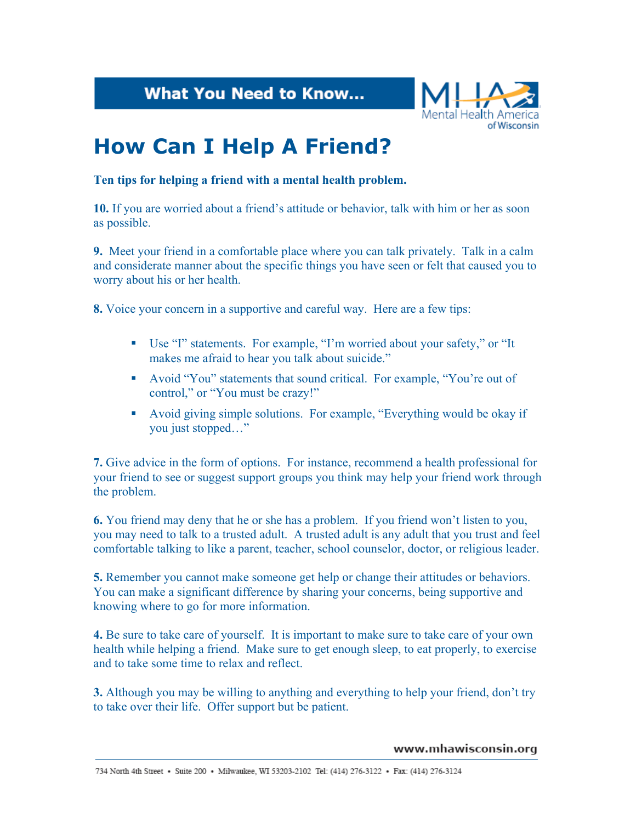**What You Need to Know...** 



## **How Can I Help A Friend?**

**Ten tips for helping a friend with a mental health problem.** 

**10.** If you are worried about a friend's attitude or behavior, talk with him or her as soon as possible.

**9.** Meet your friend in a comfortable place where you can talk privately. Talk in a calm and considerate manner about the specific things you have seen or felt that caused you to worry about his or her health.

**8.** Voice your concern in a supportive and careful way. Here are a few tips:

- Use "I" statements. For example, "I'm worried about your safety," or "It makes me afraid to hear you talk about suicide."
- Avoid "You" statements that sound critical. For example, "You're out of control," or "You must be crazy!"
- Avoid giving simple solutions. For example, "Everything would be okay if you just stopped…"

**7.** Give advice in the form of options. For instance, recommend a health professional for your friend to see or suggest support groups you think may help your friend work through the problem.

**6.** You friend may deny that he or she has a problem. If you friend won't listen to you, you may need to talk to a trusted adult. A trusted adult is any adult that you trust and feel comfortable talking to like a parent, teacher, school counselor, doctor, or religious leader.

**5.** Remember you cannot make someone get help or change their attitudes or behaviors. You can make a significant difference by sharing your concerns, being supportive and knowing where to go for more information.

**4.** Be sure to take care of yourself. It is important to make sure to take care of your own health while helping a friend. Make sure to get enough sleep, to eat properly, to exercise and to take some time to relax and reflect.

**3.** Although you may be willing to anything and everything to help your friend, don't try to take over their life. Offer support but be patient.

## www.mhawisconsin.org